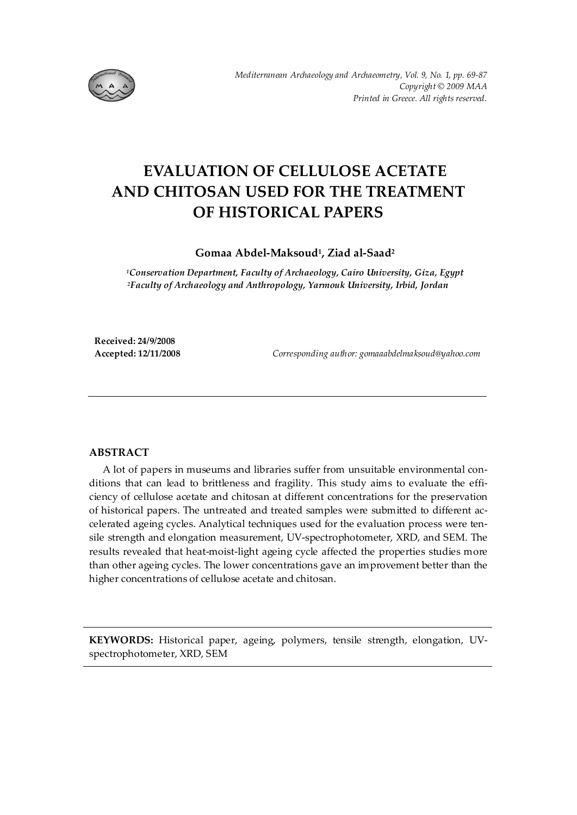

# **EVALUATION OF CELLULOSE ACETATE AND CHITOSAN USED FOR THE TREATMENT OF HISTORICAL PAPERS**

**Gomaa Abdel-Maksoud1, Ziad al-Saad2**

*1Conservation Department, Faculty of Archaeology, Cairo University, Giza, Egypt 2Faculty of Archaeology and Anthropology, Yarmouk University, Irbid, Jordan* 

**Received: 24/9/2008** 

**Accepted: 12/11/2008** *Corresponding author: gomaaabdelmaksoud@yahoo.com* 

# **ABSTRACT**

A lot of papers in museums and libraries suffer from unsuitable environmental conditions that can lead to brittleness and fragility. This study aims to evaluate the efficiency of cellulose acetate and chitosan at different concentrations for the preservation of historical papers. The untreated and treated samples were submitted to different accelerated ageing cycles. Analytical techniques used for the evaluation process were tensile strength and elongation measurement, UV-spectrophotometer, XRD, and SEM. The results revealed that heat-moist-light ageing cycle affected the properties studies more than other ageing cycles. The lower concentrations gave an improvement better than the higher concentrations of cellulose acetate and chitosan.

**KEYWORDS:** Historical paper, ageing, polymers, tensile strength, elongation, UVspectrophotometer, XRD, SEM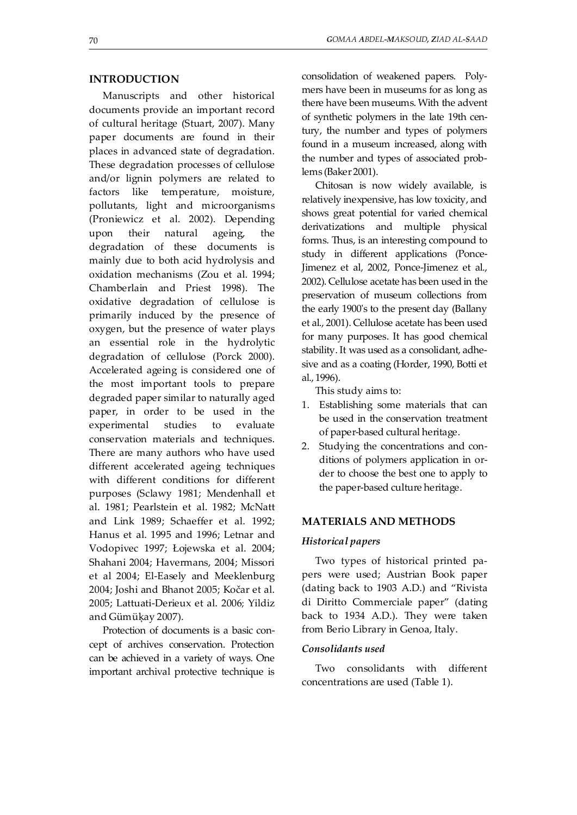## **INTRODUCTION**

Manuscripts and other historical documents provide an important record of cultural heritage (Stuart, 2007). Many paper documents are found in their places in advanced state of degradation. These degradation processes of cellulose and/or lignin polymers are related to factors like temperature, moisture, pollutants, light and microorganisms (Proniewicz et al. 2002). Depending upon their natural ageing, the degradation of these documents is mainly due to both acid hydrolysis and oxidation mechanisms (Zou et al. 1994; Chamberlain and Priest 1998). The oxidative degradation of cellulose is primarily induced by the presence of oxygen, but the presence of water plays an essential role in the hydrolytic degradation of cellulose (Porck 2000). Accelerated ageing is considered one of the most important tools to prepare degraded paper similar to naturally aged paper, in order to be used in the experimental studies to evaluate conservation materials and techniques. There are many authors who have used different accelerated ageing techniques with different conditions for different purposes (Sclawy 1981; Mendenhall et al. 1981; Pearlstein et al. 1982; McNatt and Link 1989; Schaeffer et al. 1992; Hanus et al. 1995 and 1996; Letnar and Vodopivec 1997; Łojewska et al. 2004; Shahani 2004; Havermans, 2004; Missori et al 2004; El-Easely and Meeklenburg 2004; Joshi and Bhanot 2005; Kočar et al. 2005; Lattuati-Derieux et al. 2006; Yildiz and Gümüķay 2007).

Protection of documents is a basic concept of archives conservation. Protection can be achieved in a variety of ways. One important archival protective technique is consolidation of weakened papers. Polymers have been in museums for as long as there have been museums. With the advent of synthetic polymers in the late 19th century, the number and types of polymers found in a museum increased, along with the number and types of associated problems (Baker 2001).

Chitosan is now widely available, is relatively inexpensive, has low toxicity, and shows great potential for varied chemical derivatizations and multiple physical forms. Thus, is an interesting compound to study in different applications (Ponce-Jimenez et al, 2002, Ponce-Jimenez et al., 2002). Cellulose acetate has been used in the preservation of museum collections from the early 1900's to the present day (Ballany et al., 2001). Cellulose acetate has been used for many purposes. It has good chemical stability. It was used as a consolidant, adhesive and as a coating (Horder, 1990, Botti et al., 1996).

This study aims to:

- 1. Establishing some materials that can be used in the conservation treatment of paper-based cultural heritage.
- 2. Studying the concentrations and conditions of polymers application in order to choose the best one to apply to the paper-based culture heritage.

#### **MATERIALS AND METHODS**

#### *Historical papers*

Two types of historical printed papers were used; Austrian Book paper (dating back to 1903 A.D.) and "Rivista di Diritto Commerciale paper" (dating back to 1934 A.D.). They were taken from Berio Library in Genoa, Italy.

#### *Consolidants used*

Two consolidants with different concentrations are used (Table 1).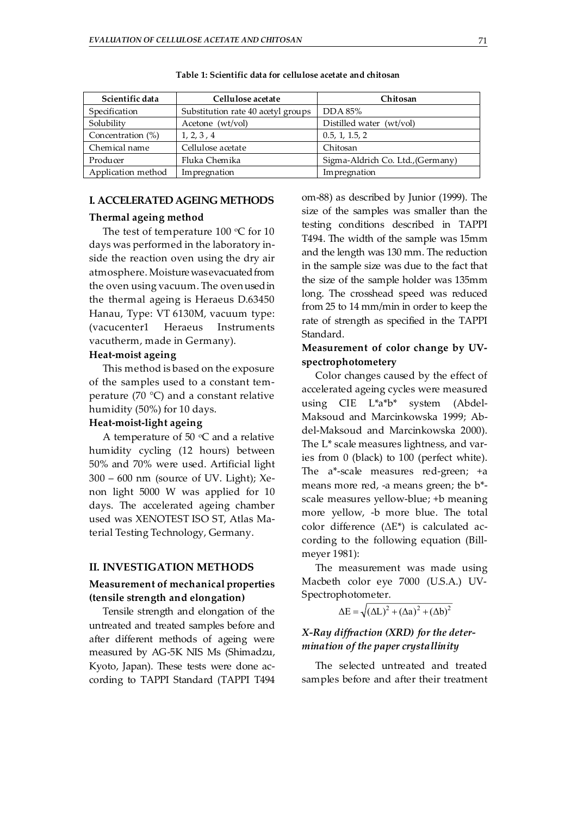| Scientific data    | Cellulose acetate                  | Chitosan                          |
|--------------------|------------------------------------|-----------------------------------|
| Specification      | Substitution rate 40 acetyl groups | DDA 85%                           |
| Solubility         | Acetone (wt/vol)                   | Distilled water (wt/vol)          |
| Concentration (%)  | 1, 2, 3, 4                         | 0.5, 1, 1.5, 2                    |
| Chemical name      | Cellulose acetate                  | Chitosan                          |
| Producer           | Fluka Chemika                      | Sigma-Aldrich Co. Ltd., (Germany) |
| Application method | Impregnation                       | Impregnation                      |

**Table 1: Scientific data for cellulose acetate and chitosan** 

## **I. ACCELERATED AGEING METHODS**

## **Thermal ageing method**

The test of temperature 100  $\mathrm{C}$  for 10 days was performed in the laboratory inside the reaction oven using the dry air atmosphere. Moisture was evacuated from the oven using vacuum. The oven used in the thermal ageing is Heraeus D.63450 Hanau, Type: VT 6130M, vacuum type: (vacucenter1 Heraeus Instruments vacutherm, made in Germany).

# **Heat-moist ageing**

This method is based on the exposure of the samples used to a constant temperature (70 °C) and a constant relative humidity (50%) for 10 days.

#### **Heat-moist-light ageing**

A temperature of 50  $\degree$ C and a relative humidity cycling (12 hours) between 50% and 70% were used. Artificial light 300 – 600 nm (source of UV. Light); Xenon light 5000 W was applied for 10 days. The accelerated ageing chamber used was XENOTEST ISO ST, Atlas Material Testing Technology, Germany.

#### **II. INVESTIGATION METHODS**

## **Measurement of mechanical properties (tensile strength and elongation)**

Tensile strength and elongation of the untreated and treated samples before and after different methods of ageing were measured by AG-5K NIS Ms (Shimadzu, Kyoto, Japan). These tests were done according to TAPPI Standard (TAPPI T494 om-88) as described by Junior (1999). The size of the samples was smaller than the testing conditions described in TAPPI T494. The width of the sample was 15mm and the length was 130 mm. The reduction in the sample size was due to the fact that the size of the sample holder was 135mm long. The crosshead speed was reduced from 25 to 14 mm/min in order to keep the rate of strength as specified in the TAPPI Standard.

# **Measurement of color change by UVspectrophotometery**

Color changes caused by the effect of accelerated ageing cycles were measured using CIE L\*a\*b\* system (Abdel-Maksoud and Marcinkowska 1999; Abdel-Maksoud and Marcinkowska 2000). The L\* scale measures lightness, and varies from 0 (black) to 100 (perfect white). The a\*-scale measures red-green; +a means more red, -a means green; the b\* scale measures yellow-blue; +b meaning more yellow, -b more blue. The total color difference (ΔE\*) is calculated according to the following equation (Billmeyer 1981):

The measurement was made using Macbeth color eye 7000 (U.S.A.) UV-Spectrophotometer.

 $\Delta E = \sqrt{(\Delta L)^2 + (\Delta a)^2 + (\Delta b)^2}$ 

# *X-Ray diffraction (XRD) for the determination of the paper crystallinity*

The selected untreated and treated samples before and after their treatment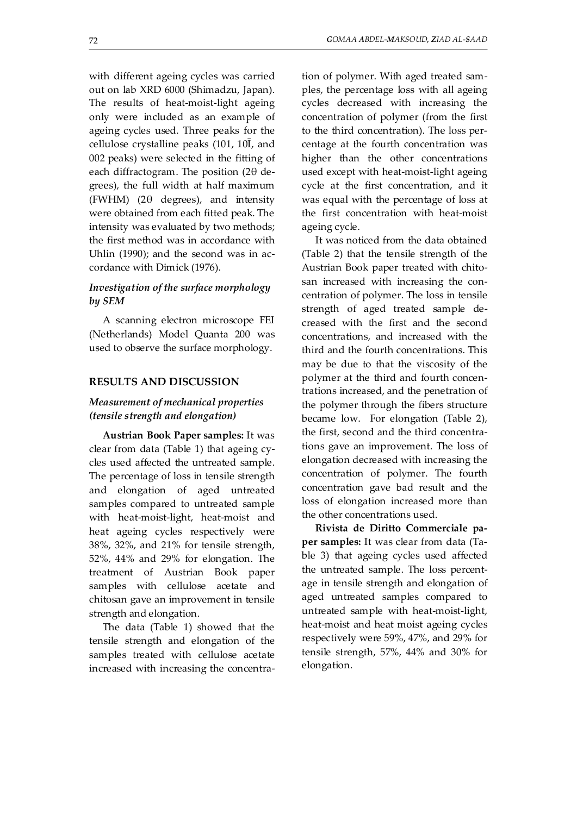with different ageing cycles was carried out on lab XRD 6000 (Shimadzu, Japan). The results of heat-moist-light ageing only were included as an example of ageing cycles used. Three peaks for the cellulose crystalline peaks (101, 10Ī, and 002 peaks) were selected in the fitting of each diffractogram. The position (2θ degrees), the full width at half maximum (FWHM) (2θ degrees), and intensity were obtained from each fitted peak. The intensity was evaluated by two methods; the first method was in accordance with Uhlin (1990); and the second was in accordance with Dimick (1976).

# *Investigation of the surface morphology by SEM*

A scanning electron microscope FEI (Netherlands) Model Quanta 200 was used to observe the surface morphology.

#### **RESULTS AND DISCUSSION**

# *Measurement of mechanical properties (tensile strength and elongation)*

**Austrian Book Paper samples:** It was clear from data (Table 1) that ageing cycles used affected the untreated sample. The percentage of loss in tensile strength and elongation of aged untreated samples compared to untreated sample with heat-moist-light, heat-moist and heat ageing cycles respectively were 38%, 32%, and 21% for tensile strength, 52%, 44% and 29% for elongation. The treatment of Austrian Book paper samples with cellulose acetate and chitosan gave an improvement in tensile strength and elongation.

The data (Table 1) showed that the tensile strength and elongation of the samples treated with cellulose acetate increased with increasing the concentration of polymer. With aged treated samples, the percentage loss with all ageing cycles decreased with increasing the concentration of polymer (from the first to the third concentration). The loss percentage at the fourth concentration was higher than the other concentrations used except with heat-moist-light ageing cycle at the first concentration, and it was equal with the percentage of loss at the first concentration with heat-moist ageing cycle.

It was noticed from the data obtained (Table 2) that the tensile strength of the Austrian Book paper treated with chitosan increased with increasing the concentration of polymer. The loss in tensile strength of aged treated sample decreased with the first and the second concentrations, and increased with the third and the fourth concentrations. This may be due to that the viscosity of the polymer at the third and fourth concentrations increased, and the penetration of the polymer through the fibers structure became low. For elongation (Table 2), the first, second and the third concentrations gave an improvement. The loss of elongation decreased with increasing the concentration of polymer. The fourth concentration gave bad result and the loss of elongation increased more than the other concentrations used.

**Rivista de Diritto Commerciale paper samples:** It was clear from data (Table 3) that ageing cycles used affected the untreated sample. The loss percentage in tensile strength and elongation of aged untreated samples compared to untreated sample with heat-moist-light, heat-moist and heat moist ageing cycles respectively were 59%, 47%, and 29% for tensile strength, 57%, 44% and 30% for elongation.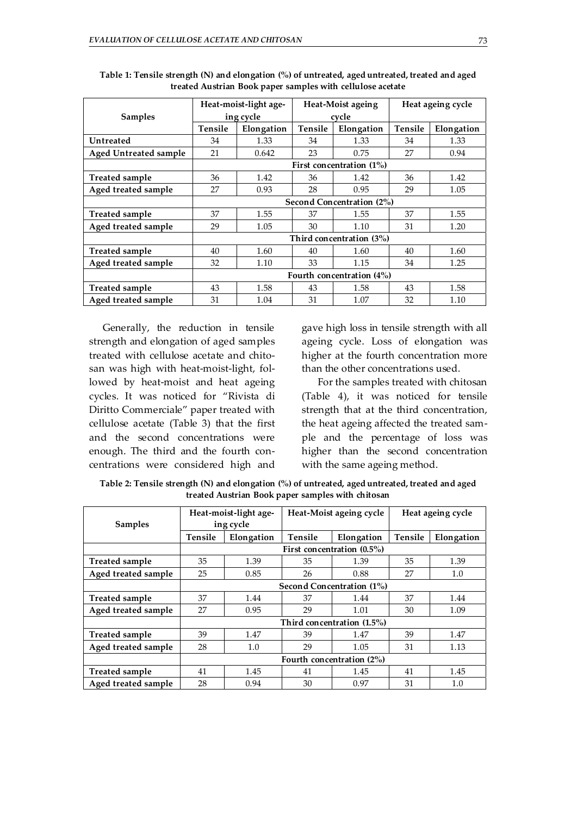|                       |                           | Heat-moist-light age-    |         | Heat-Moist ageing        | Heat ageing cycle |            |  |  |  |
|-----------------------|---------------------------|--------------------------|---------|--------------------------|-------------------|------------|--|--|--|
| <b>Samples</b>        |                           | ing cycle                |         | cycle                    |                   |            |  |  |  |
|                       | Tensile<br>Elongation     |                          | Tensile | Elongation               | Tensile           | Elongation |  |  |  |
| <b>Untreated</b>      | 34                        | 1.33                     | 34      | 1.33                     | 34                | 1.33       |  |  |  |
| Aged Untreated sample | 21                        | 0.642                    | 23      | 0.75                     | 27                | 0.94       |  |  |  |
|                       |                           | First concentration (1%) |         |                          |                   |            |  |  |  |
| Treated sample        | 36                        | 1.42                     | 36      | 1.42                     | 36                | 1.42       |  |  |  |
| Aged treated sample   | 27                        | 0.93                     | 28      | 0.95                     |                   | 1.05       |  |  |  |
|                       | Second Concentration (2%) |                          |         |                          |                   |            |  |  |  |
| <b>Treated sample</b> | 37                        | 1.55                     | 37      | 1.55                     | 37                | 1.55       |  |  |  |
| Aged treated sample   | 29                        | 1.05                     | 30      | 1.10                     | 31                | 1.20       |  |  |  |
|                       |                           |                          |         | Third concentration (3%) |                   |            |  |  |  |
| Treated sample        | 40                        | 1.60                     | 40      | 1.60                     | 40                | 1.60       |  |  |  |
| Aged treated sample   | 32                        | 1.10                     | 33      | 1.15                     | 34                | 1.25       |  |  |  |
|                       | Fourth concentration (4%) |                          |         |                          |                   |            |  |  |  |
| Treated sample        | 43                        | 1.58                     | 43      | 1.58                     | 43                | 1.58       |  |  |  |
| Aged treated sample   | 31                        | 1.04                     | 31      | 1.07                     | 32                | 1.10       |  |  |  |

**Table 1: Tensile strength (N) and elongation (%) of untreated, aged untreated, treated and aged treated Austrian Book paper samples with cellulose acetate** 

Generally, the reduction in tensile strength and elongation of aged samples treated with cellulose acetate and chitosan was high with heat-moist-light, followed by heat-moist and heat ageing cycles. It was noticed for "Rivista di Diritto Commerciale" paper treated with cellulose acetate (Table 3) that the first and the second concentrations were enough. The third and the fourth concentrations were considered high and

gave high loss in tensile strength with all ageing cycle. Loss of elongation was higher at the fourth concentration more than the other concentrations used.

 For the samples treated with chitosan (Table 4), it was noticed for tensile strength that at the third concentration, the heat ageing affected the treated sample and the percentage of loss was higher than the second concentration with the same ageing method.

**Table 2: Tensile strength (N) and elongation (%) of untreated, aged untreated, treated and aged treated Austrian Book paper samples with chitosan** 

|                       |                              | Heat-moist-light age- |                | Heat-Moist ageing cycle       | Heat ageing cycle |            |  |  |  |
|-----------------------|------------------------------|-----------------------|----------------|-------------------------------|-------------------|------------|--|--|--|
| <b>Samples</b>        |                              | ing cycle             |                |                               |                   |            |  |  |  |
|                       | <b>Tensile</b>               | Elongation            | <b>Tensile</b> | Elongation                    |                   | Elongation |  |  |  |
|                       |                              |                       |                | First concentration $(0.5\%)$ |                   |            |  |  |  |
| <b>Treated sample</b> | 35                           | 1.39                  | 35             | 1.39                          | 35                | 1.39       |  |  |  |
| Aged treated sample   | 25                           | 0.85                  | 26             | 0.88                          | 27                | 1.0        |  |  |  |
|                       | Second Concentration (1%)    |                       |                |                               |                   |            |  |  |  |
| <b>Treated sample</b> | 37                           | 1.44                  | 37             | 1.44                          | 37                | 1.44       |  |  |  |
| Aged treated sample   | 27                           | 0.95                  | 29             | 1.01                          | 30                | 1.09       |  |  |  |
|                       |                              |                       |                | Third concentration (1.5%)    |                   |            |  |  |  |
| <b>Treated sample</b> | 39                           | 1.47                  | 39             | 1.47                          | 39                | 1.47       |  |  |  |
| Aged treated sample   | 28                           | 1.0                   | 29             | 1.05                          | 31                | 1.13       |  |  |  |
|                       | Fourth concentration $(2\%)$ |                       |                |                               |                   |            |  |  |  |
| <b>Treated sample</b> | 41                           | 1.45                  | 41<br>1.45     |                               | 41                | 1.45       |  |  |  |
| Aged treated sample   | 28                           | 0.94                  | 30             | 0.97                          | 31                | 1.0        |  |  |  |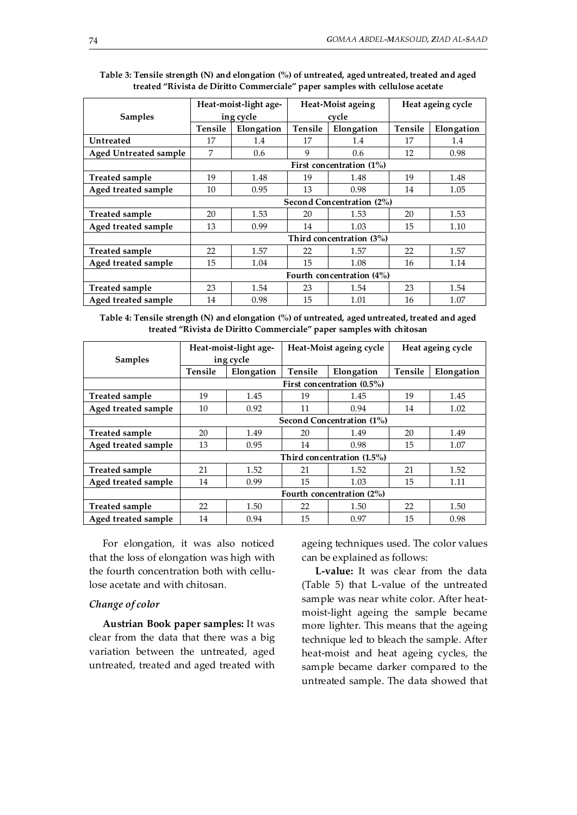|                       |                              | Heat-moist-light age- |                | Heat-Moist ageing        | Heat ageing cycle |            |  |  |  |
|-----------------------|------------------------------|-----------------------|----------------|--------------------------|-------------------|------------|--|--|--|
| <b>Samples</b>        |                              | ing cycle             |                | cycle                    |                   |            |  |  |  |
|                       | <b>Tensile</b><br>Elongation |                       | <b>Tensile</b> | Elongation               | <b>Tensile</b>    | Elongation |  |  |  |
| <b>Untreated</b>      | 17                           | 1.4                   | 17             | 1.4                      | 17                | 1.4        |  |  |  |
| Aged Untreated sample | 7                            | 0.6                   | 9              | 0.6                      | 12                | 0.98       |  |  |  |
|                       |                              |                       |                | First concentration (1%) |                   |            |  |  |  |
| <b>Treated sample</b> | 19                           | 1.48                  | 19             | 1.48                     | 19                | 1.48       |  |  |  |
| Aged treated sample   | 10<br>0.95<br>13<br>0.98     |                       | 14             | 1.05                     |                   |            |  |  |  |
|                       | Second Concentration (2%)    |                       |                |                          |                   |            |  |  |  |
| <b>Treated sample</b> | 20                           | 1.53                  | 20             | 1.53                     | 20                | 1.53       |  |  |  |
| Aged treated sample   | 13                           | 0.99<br>14<br>1.03    |                |                          | 15                | 1.10       |  |  |  |
|                       |                              |                       |                | Third concentration (3%) |                   |            |  |  |  |
| <b>Treated sample</b> | 22                           | 1.57                  | 22             | 1.57                     | 22                | 1.57       |  |  |  |
| Aged treated sample   | 15                           | 1.04                  | 15             | 1.08                     | 16                | 1.14       |  |  |  |
|                       | Fourth concentration $(4\%)$ |                       |                |                          |                   |            |  |  |  |
| <b>Treated sample</b> | 23<br>1.54                   |                       | 23             | 1.54                     |                   | 1.54       |  |  |  |
| Aged treated sample   | 14                           | 0.98                  | 15             | 1.01                     |                   | 1.07       |  |  |  |

**Table 3: Tensile strength (N) and elongation (%) of untreated, aged untreated, treated and aged treated "Rivista de Diritto Commerciale" paper samples with cellulose acetate** 

**Table 4: Tensile strength (N) and elongation (%) of untreated, aged untreated, treated and aged treated "Rivista de Diritto Commerciale" paper samples with chitosan** 

|                       |                           | Heat-moist-light age- |                | Heat-Moist ageing cycle       | Heat ageing cycle |            |  |  |  |
|-----------------------|---------------------------|-----------------------|----------------|-------------------------------|-------------------|------------|--|--|--|
| <b>Samples</b>        |                           | ing cycle             |                |                               |                   |            |  |  |  |
|                       | <b>Tensile</b>            | Elongation            | <b>Tensile</b> | Elongation                    | <b>Tensile</b>    | Elongation |  |  |  |
|                       |                           |                       |                | First concentration (0.5%)    |                   |            |  |  |  |
| <b>Treated sample</b> | 19                        | 1.45                  | 19             | 1.45                          | 19                | 1.45       |  |  |  |
| Aged treated sample   | 10                        | 0.92                  | 11             | 0.94                          | 14                | 1.02       |  |  |  |
|                       | Second Concentration (1%) |                       |                |                               |                   |            |  |  |  |
| <b>Treated sample</b> | 20<br>1.49                |                       | 20             | 1.49                          | 20                | 1.49       |  |  |  |
| Aged treated sample   | 13                        | 0.95<br>14<br>0.98    |                | 15                            | 1.07              |            |  |  |  |
|                       |                           |                       |                | Third concentration $(1.5\%)$ |                   |            |  |  |  |
| <b>Treated sample</b> | 21                        | 1.52                  | 21             | 1.52                          | 21                | 1.52       |  |  |  |
| Aged treated sample   | 14                        | 0.99                  | 15             | 1.03                          | 15                | 1.11       |  |  |  |
|                       | Fourth concentration (2%) |                       |                |                               |                   |            |  |  |  |
| <b>Treated sample</b> | 22                        | 1.50                  | 22<br>1.50     |                               | 22                | 1.50       |  |  |  |
| Aged treated sample   | 14                        | 0.94                  | 15<br>0.97     |                               | 15                | 0.98       |  |  |  |

For elongation, it was also noticed that the loss of elongation was high with the fourth concentration both with cellulose acetate and with chitosan.

#### *Change of color*

**Austrian Book paper samples:** It was clear from the data that there was a big variation between the untreated, aged untreated, treated and aged treated with

ageing techniques used. The color values can be explained as follows:

**L-value:** It was clear from the data (Table 5) that L-value of the untreated sample was near white color. After heatmoist-light ageing the sample became more lighter. This means that the ageing technique led to bleach the sample. After heat-moist and heat ageing cycles, the sample became darker compared to the untreated sample. The data showed that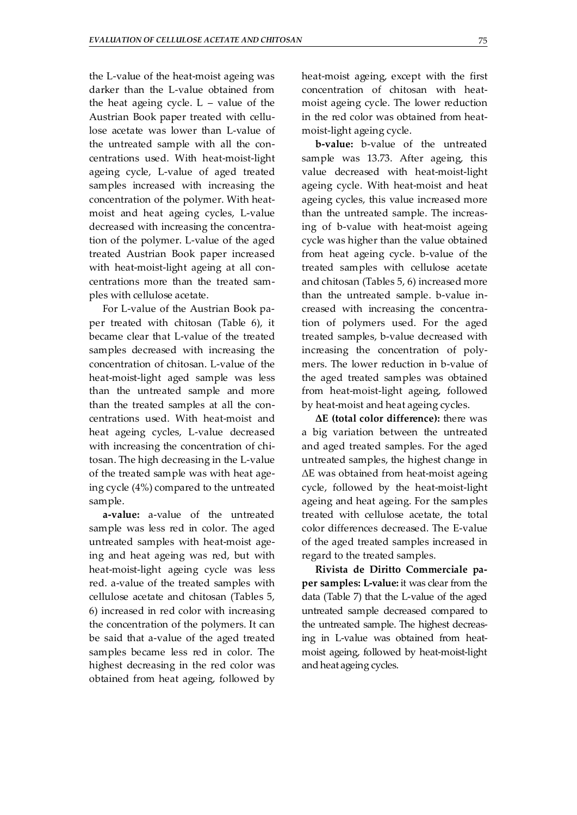the L-value of the heat-moist ageing was darker than the L-value obtained from the heat ageing cycle.  $L -$  value of the Austrian Book paper treated with cellulose acetate was lower than L-value of the untreated sample with all the concentrations used. With heat-moist-light ageing cycle, L-value of aged treated samples increased with increasing the concentration of the polymer. With heatmoist and heat ageing cycles, L-value decreased with increasing the concentration of the polymer. L-value of the aged treated Austrian Book paper increased with heat-moist-light ageing at all concentrations more than the treated samples with cellulose acetate.

For L-value of the Austrian Book paper treated with chitosan (Table 6), it became clear that L-value of the treated samples decreased with increasing the concentration of chitosan. L-value of the heat-moist-light aged sample was less than the untreated sample and more than the treated samples at all the concentrations used. With heat-moist and heat ageing cycles, L-value decreased with increasing the concentration of chitosan. The high decreasing in the L-value of the treated sample was with heat ageing cycle (4%) compared to the untreated sample.

**a-value:** a-value of the untreated sample was less red in color. The aged untreated samples with heat-moist ageing and heat ageing was red, but with heat-moist-light ageing cycle was less red. a-value of the treated samples with cellulose acetate and chitosan (Tables 5, 6) increased in red color with increasing the concentration of the polymers. It can be said that a-value of the aged treated samples became less red in color. The highest decreasing in the red color was obtained from heat ageing, followed by heat-moist ageing, except with the first concentration of chitosan with heatmoist ageing cycle. The lower reduction in the red color was obtained from heatmoist-light ageing cycle.

**b-value:** b-value of the untreated sample was 13.73. After ageing, this value decreased with heat-moist-light ageing cycle. With heat-moist and heat ageing cycles, this value increased more than the untreated sample. The increasing of b-value with heat-moist ageing cycle was higher than the value obtained from heat ageing cycle. b-value of the treated samples with cellulose acetate and chitosan (Tables 5, 6) increased more than the untreated sample. b-value increased with increasing the concentration of polymers used. For the aged treated samples, b-value decreased with increasing the concentration of polymers. The lower reduction in b-value of the aged treated samples was obtained from heat-moist-light ageing, followed by heat-moist and heat ageing cycles.

**ΔE (total color difference):** there was a big variation between the untreated and aged treated samples. For the aged untreated samples, the highest change in ΔE was obtained from heat-moist ageing cycle, followed by the heat-moist-light ageing and heat ageing. For the samples treated with cellulose acetate, the total color differences decreased. The E-value of the aged treated samples increased in regard to the treated samples.

**Rivista de Diritto Commerciale paper samples: L-value:** it was clear from the data (Table 7) that the L-value of the aged untreated sample decreased compared to the untreated sample. The highest decreasing in L-value was obtained from heatmoist ageing, followed by heat-moist-light and heat ageing cycles.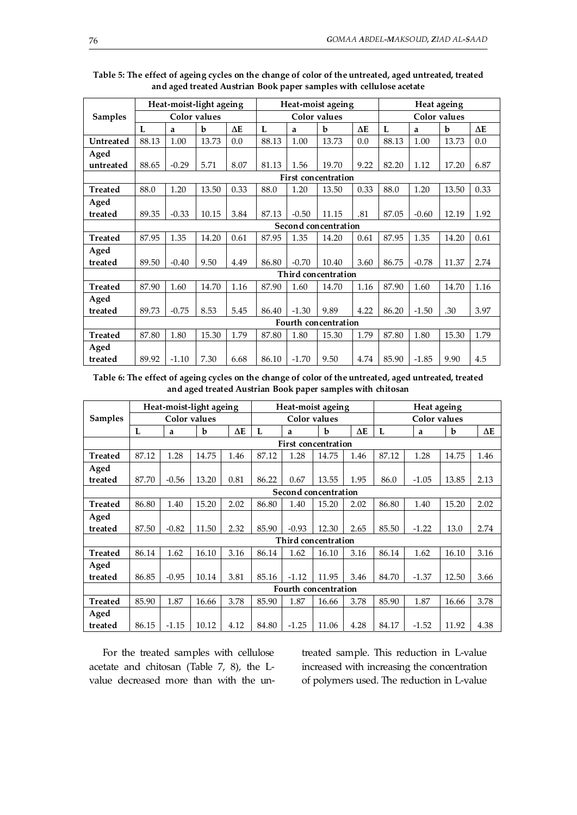|                |       |         | Heat-moist-light ageing |            |       |         | Heat-moist ageing          |            | Heat ageing  |         |       |            |
|----------------|-------|---------|-------------------------|------------|-------|---------|----------------------------|------------|--------------|---------|-------|------------|
| <b>Samples</b> |       |         | Color values            |            |       |         | Color values               |            | Color values |         |       |            |
|                | L     | a       | b                       | $\Delta E$ | L     | a       | b                          | $\Delta E$ | L            | a       | b     | $\Delta E$ |
| Untreated      | 88.13 | 1.00    | 13.73                   | 0.0        | 88.13 | 1.00    | 13.73                      | 0.0        | 88.13        | 1.00    | 13.73 | 0.0        |
| Aged           |       |         |                         |            |       |         |                            |            |              |         |       |            |
| untreated      | 88.65 | $-0.29$ | 5.71                    | 8.07       | 81.13 | 1.56    | 19.70                      | 9.22       | 82.20        | 1.12    | 17.20 | 6.87       |
|                |       |         |                         |            |       |         | <b>First concentration</b> |            |              |         |       |            |
| <b>Treated</b> | 88.0  | 1.20    | 13.50                   | 0.33       | 88.0  | 1.20    | 13.50                      | 0.33       | 88.0         | 1.20    | 13.50 | 0.33       |
| Aged           |       |         |                         |            |       |         |                            |            |              |         |       |            |
| treated        | 89.35 | $-0.33$ | 10.15                   | 3.84       | 87.13 | $-0.50$ | 11.15                      | .81        | 87.05        | $-0.60$ | 12.19 | 1.92       |
|                |       |         |                         |            |       |         | Second concentration       |            |              |         |       |            |
| <b>Treated</b> | 87.95 | 1.35    | 14.20                   | 0.61       | 87.95 | 1.35    | 14.20                      | 0.61       | 87.95        | 1.35    | 14.20 | 0.61       |
| Aged           |       |         |                         |            |       |         |                            |            |              |         |       |            |
| treated        | 89.50 | $-0.40$ | 9.50                    | 4.49       | 86.80 | $-0.70$ | 10.40                      | 3.60       | 86.75        | $-0.78$ | 11.37 | 2.74       |
|                |       |         |                         |            |       |         | Third concentration        |            |              |         |       |            |
| <b>Treated</b> | 87.90 | 1.60    | 14.70                   | 1.16       | 87.90 | 1.60    | 14.70                      | 1.16       | 87.90        | 1.60    | 14.70 | 1.16       |
| Aged           |       |         |                         |            |       |         |                            |            |              |         |       |            |
| treated        | 89.73 | $-0.75$ | 8.53                    | 5.45       | 86.40 | $-1.30$ | 9.89                       | 4.22       | 86.20        | $-1.50$ | .30   | 3.97       |
|                |       |         |                         |            |       |         | Fourth concentration       |            |              |         |       |            |
| <b>Treated</b> | 87.80 | 1.80    | 15.30                   | 1.79       | 87.80 | 1.80    | 15.30                      | 1.79       | 87.80        | 1.80    | 15.30 | 1.79       |
| Aged           |       |         |                         |            |       |         |                            |            |              |         |       |            |
| treated        | 89.92 | $-1.10$ | 7.30                    | 6.68       | 86.10 | $-1.70$ | 9.50                       | 4.74       | 85.90        | $-1.85$ | 9.90  | 4.5        |

| Table 5: The effect of ageing cycles on the change of color of the untreated, aged untreated, treated |
|-------------------------------------------------------------------------------------------------------|
| and aged treated Austrian Book paper samples with cellulose acetate                                   |

**Table 6: The effect of ageing cycles on the change of color of the untreated, aged untreated, treated and aged treated Austrian Book paper samples with chitosan** 

|                |                            | Heat-moist-light ageing<br>Heat-moist ageing |              |            |       |         |                      | Heat ageing |       |              |       |            |
|----------------|----------------------------|----------------------------------------------|--------------|------------|-------|---------|----------------------|-------------|-------|--------------|-------|------------|
| <b>Samples</b> |                            |                                              | Color values |            |       |         | Color values         |             |       | Color values |       |            |
|                | L                          | a                                            | b            | $\Delta E$ | L     | a       | b                    | $\Delta E$  | L     | a            | b     | $\Delta E$ |
|                | <b>First concentration</b> |                                              |              |            |       |         |                      |             |       |              |       |            |
| <b>Treated</b> | 87.12                      | 1.28                                         | 14.75        | 1.46       | 87.12 | 1.28    | 14.75                | 1.46        | 87.12 | 1.28         | 14.75 | 1.46       |
| Aged           |                            |                                              |              |            |       |         |                      |             |       |              |       |            |
| treated        | 87.70                      | $-0.56$                                      | 13.20        | 0.81       | 86.22 | 0.67    | 13.55                | 1.95        | 86.0  | $-1.05$      | 13.85 | 2.13       |
|                |                            |                                              |              |            |       |         | Second concentration |             |       |              |       |            |
| <b>Treated</b> | 86.80                      | 1.40                                         | 15.20        | 2.02       | 86.80 | 1.40    | 15.20                | 2.02        | 86.80 | 1.40         | 15.20 | 2.02       |
| Aged           |                            |                                              |              |            |       |         |                      |             |       |              |       |            |
| treated        | 87.50                      | $-0.82$                                      | 11.50        | 2.32       | 85.90 | $-0.93$ | 12.30                | 2.65        | 85.50 | $-1.22$      | 13.0  | 2.74       |
|                |                            |                                              |              |            |       |         | Third concentration  |             |       |              |       |            |
| <b>Treated</b> | 86.14                      | 1.62                                         | 16.10        | 3.16       | 86.14 | 1.62    | 16.10                | 3.16        | 86.14 | 1.62         | 16.10 | 3.16       |
| Aged           |                            |                                              |              |            |       |         |                      |             |       |              |       |            |
| treated        | 86.85                      | $-0.95$                                      | 10.14        | 3.81       | 85.16 | $-1.12$ | 11.95                | 3.46        | 84.70 | $-1.37$      | 12.50 | 3.66       |
|                | Fourth concentration       |                                              |              |            |       |         |                      |             |       |              |       |            |
| <b>Treated</b> | 85.90                      | 1.87                                         | 16.66        | 3.78       | 85.90 | 1.87    | 16.66                | 3.78        | 85.90 | 1.87         | 16.66 | 3.78       |
| Aged           |                            |                                              |              |            |       |         |                      |             |       |              |       |            |
| treated        | 86.15                      | $-1.15$                                      | 10.12        | 4.12       | 84.80 | $-1.25$ | 11.06                | 4.28        | 84.17 | $-1.52$      | 11.92 | 4.38       |

For the treated samples with cellulose acetate and chitosan (Table 7, 8), the Lvalue decreased more than with the untreated sample. This reduction in L-value increased with increasing the concentration of polymers used. The reduction in L-value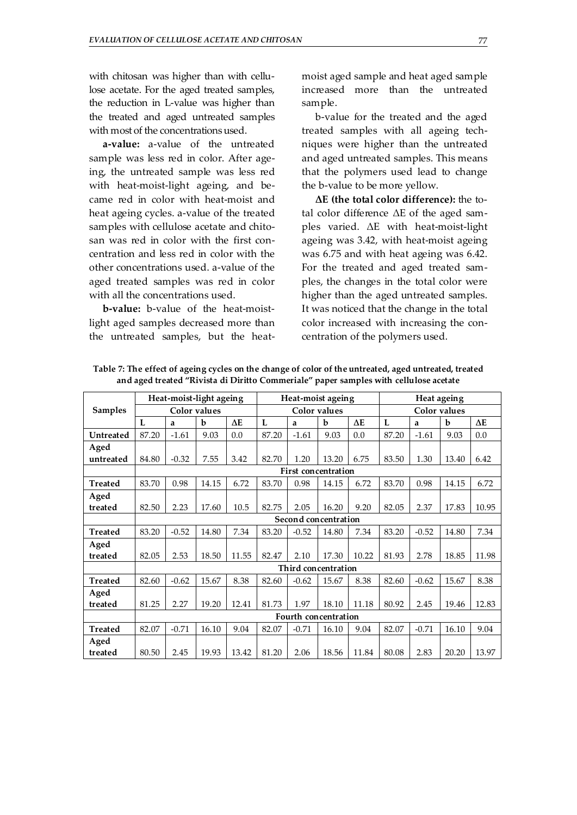with chitosan was higher than with cellulose acetate. For the aged treated samples, the reduction in L-value was higher than the treated and aged untreated samples with most of the concentrations used.

**a-value:** a-value of the untreated sample was less red in color. After ageing, the untreated sample was less red with heat-moist-light ageing, and became red in color with heat-moist and heat ageing cycles. a-value of the treated samples with cellulose acetate and chitosan was red in color with the first concentration and less red in color with the other concentrations used. a-value of the aged treated samples was red in color with all the concentrations used.

**b-value:** b-value of the heat-moistlight aged samples decreased more than the untreated samples, but the heatmoist aged sample and heat aged sample increased more than the untreated sample.

b-value for the treated and the aged treated samples with all ageing techniques were higher than the untreated and aged untreated samples. This means that the polymers used lead to change the b-value to be more yellow.

**ΔE (the total color difference):** the total color difference ΔE of the aged samples varied. ΔE with heat-moist-light ageing was 3.42, with heat-moist ageing was 6.75 and with heat ageing was 6.42. For the treated and aged treated samples, the changes in the total color were higher than the aged untreated samples. It was noticed that the change in the total color increased with increasing the concentration of the polymers used.

|                |       |         | Heat-moist-light ageing |            |       |         | Heat-moist ageing          |            | Heat ageing |         |                     |            |
|----------------|-------|---------|-------------------------|------------|-------|---------|----------------------------|------------|-------------|---------|---------------------|------------|
| <b>Samples</b> |       |         | <b>Color</b> values     |            |       |         | <b>Color</b> values        |            |             |         | <b>Color</b> values |            |
|                | L     | a       | b                       | $\Delta E$ | L     | a       | b                          | $\Delta E$ | L           | a       | b                   | $\Delta E$ |
| Untreated      | 87.20 | $-1.61$ | 9.03                    | 0.0        | 87.20 | $-1.61$ | 9.03                       | 0.0        | 87.20       | $-1.61$ | 9.03                | 0.0        |
| Aged           |       |         |                         |            |       |         |                            |            |             |         |                     |            |
| untreated      | 84.80 | $-0.32$ | 7.55                    | 3.42       | 82.70 | 1.20    | 13.20                      | 6.75       | 83.50       | 1.30    | 13.40               | 6.42       |
|                |       |         |                         |            |       |         | <b>First concentration</b> |            |             |         |                     |            |
| <b>Treated</b> | 83.70 | 0.98    | 14.15                   | 6.72       | 83.70 | 0.98    | 14.15                      | 6.72       | 83.70       | 0.98    | 14.15               | 6.72       |
| Aged           |       |         |                         |            |       |         |                            |            |             |         |                     |            |
| treated        | 82.50 | 2.23    | 17.60                   | 10.5       | 82.75 | 2.05    | 16.20                      | 9.20       | 82.05       | 2.37    | 17.83               | 10.95      |
|                |       |         |                         |            |       |         | Second concentration       |            |             |         |                     |            |
| <b>Treated</b> | 83.20 | $-0.52$ | 14.80                   | 7.34       | 83.20 | $-0.52$ | 14.80                      | 7.34       | 83.20       | $-0.52$ | 14.80               | 7.34       |
| Aged           |       |         |                         |            |       |         |                            |            |             |         |                     |            |
| treated        | 82.05 | 2.53    | 18.50                   | 11.55      | 82.47 | 2.10    | 17.30                      | 10.22      | 81.93       | 2.78    | 18.85               | 11.98      |
|                |       |         |                         |            |       |         | Third concentration        |            |             |         |                     |            |
| <b>Treated</b> | 82.60 | $-0.62$ | 15.67                   | 8.38       | 82.60 | $-0.62$ | 15.67                      | 8.38       | 82.60       | $-0.62$ | 15.67               | 8.38       |
| Aged           |       |         |                         |            |       |         |                            |            |             |         |                     |            |
| treated        | 81.25 | 2.27    | 19.20                   | 12.41      | 81.73 | 1.97    | 18.10                      | 11.18      | 80.92       | 2.45    | 19.46               | 12.83      |
|                |       |         |                         |            |       |         | Fourth concentration       |            |             |         |                     |            |
| <b>Treated</b> | 82.07 | $-0.71$ | 16.10                   | 9.04       | 82.07 | $-0.71$ | 16.10                      | 9.04       | 82.07       | $-0.71$ | 16.10               | 9.04       |
| Aged           |       |         |                         |            |       |         |                            |            |             |         |                     |            |
| treated        | 80.50 | 2.45    | 19.93                   | 13.42      | 81.20 | 2.06    | 18.56                      | 11.84      | 80.08       | 2.83    | 20.20               | 13.97      |

**Table 7: The effect of ageing cycles on the change of color of the untreated, aged untreated, treated and aged treated "Rivista di Diritto Commeriale" paper samples with cellulose acetate**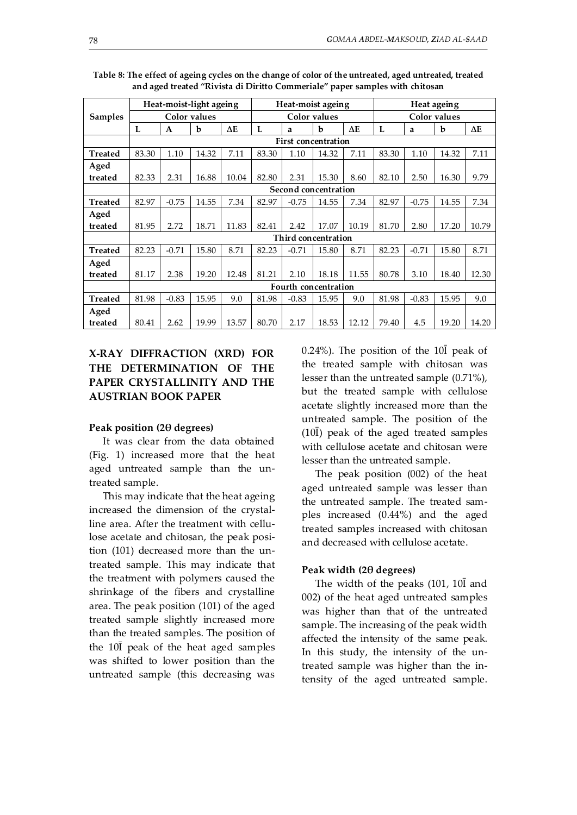|                |                            |                      | Heat-moist-light ageing<br>Heat-moist ageing |            |       |         |                      |            | Heat ageing  |         |       |            |
|----------------|----------------------------|----------------------|----------------------------------------------|------------|-------|---------|----------------------|------------|--------------|---------|-------|------------|
| <b>Samples</b> | Color values               |                      |                                              |            |       |         | Color values         |            | Color values |         |       |            |
|                | L                          | A                    | b                                            | $\Delta E$ | L     | a       | b                    | $\Delta E$ | L            | a       | b     | $\Delta E$ |
|                | <b>First concentration</b> |                      |                                              |            |       |         |                      |            |              |         |       |            |
| <b>Treated</b> | 83.30                      | 1.10                 | 14.32                                        | 7.11       | 83.30 | 1.10    | 14.32                | 7.11       | 83.30        | 1.10    | 14.32 | 7.11       |
| Aged           |                            |                      |                                              |            |       |         |                      |            |              |         |       |            |
| treated        | 82.33                      | 2.31                 | 16.88                                        | 10.04      | 82.80 | 2.31    | 15.30                | 8.60       | 82.10        | 2.50    | 16.30 | 9.79       |
|                |                            |                      |                                              |            |       |         | Second concentration |            |              |         |       |            |
| Treated        | 82.97                      | $-0.75$              | 14.55                                        | 7.34       | 82.97 | $-0.75$ | 14.55                | 7.34       | 82.97        | $-0.75$ | 14.55 | 7.34       |
| Aged           |                            |                      |                                              |            |       |         |                      |            |              |         |       |            |
| treated        | 81.95                      | 2.72                 | 18.71                                        | 11.83      | 82.41 | 2.42    | 17.07                | 10.19      | 81.70        | 2.80    | 17.20 | 10.79      |
|                |                            |                      |                                              |            |       |         | Third concentration  |            |              |         |       |            |
| <b>Treated</b> | 82.23                      | $-0.71$              | 15.80                                        | 8.71       | 82.23 | $-0.71$ | 15.80                | 8.71       | 82.23        | $-0.71$ | 15.80 | 8.71       |
| Aged           |                            |                      |                                              |            |       |         |                      |            |              |         |       |            |
| treated        | 81.17                      | 2.38                 | 19.20                                        | 12.48      | 81.21 | 2.10    | 18.18                | 11.55      | 80.78        | 3.10    | 18.40 | 12.30      |
|                |                            | Fourth concentration |                                              |            |       |         |                      |            |              |         |       |            |
| <b>Treated</b> | 81.98                      | $-0.83$              | 15.95                                        | 9.0        | 81.98 | $-0.83$ | 15.95                | 9.0        | 81.98        | $-0.83$ | 15.95 | 9.0        |
| Aged           |                            |                      |                                              |            |       |         |                      |            |              |         |       |            |
| treated        | 80.41                      | 2.62                 | 19.99                                        | 13.57      | 80.70 | 2.17    | 18.53                | 12.12      | 79.40        | 4.5     | 19.20 | 14.20      |

**Table 8: The effect of ageing cycles on the change of color of the untreated, aged untreated, treated and aged treated "Rivista di Diritto Commeriale" paper samples with chitosan** 

# **X-RAY DIFFRACTION (XRD) FOR THE DETERMINATION OF THE PAPER CRYSTALLINITY AND THE AUSTRIAN BOOK PAPER**

#### **Peak position (2θ degrees)**

It was clear from the data obtained (Fig. 1) increased more that the heat aged untreated sample than the untreated sample.

This may indicate that the heat ageing increased the dimension of the crystalline area. After the treatment with cellulose acetate and chitosan, the peak position (101) decreased more than the untreated sample. This may indicate that the treatment with polymers caused the shrinkage of the fibers and crystalline area. The peak position (101) of the aged treated sample slightly increased more than the treated samples. The position of the 10Ī peak of the heat aged samples was shifted to lower position than the untreated sample (this decreasing was

0.24%). The position of the  $10\overline{I}$  peak of the treated sample with chitosan was lesser than the untreated sample (0.71%), but the treated sample with cellulose acetate slightly increased more than the untreated sample. The position of the (10Ī) peak of the aged treated samples with cellulose acetate and chitosan were lesser than the untreated sample.

The peak position (002) of the heat aged untreated sample was lesser than the untreated sample. The treated samples increased (0.44%) and the aged treated samples increased with chitosan and decreased with cellulose acetate.

#### **Peak width (2θ degrees)**

The width of the peaks (101, 10Ī and 002) of the heat aged untreated samples was higher than that of the untreated sample. The increasing of the peak width affected the intensity of the same peak. In this study, the intensity of the untreated sample was higher than the intensity of the aged untreated sample.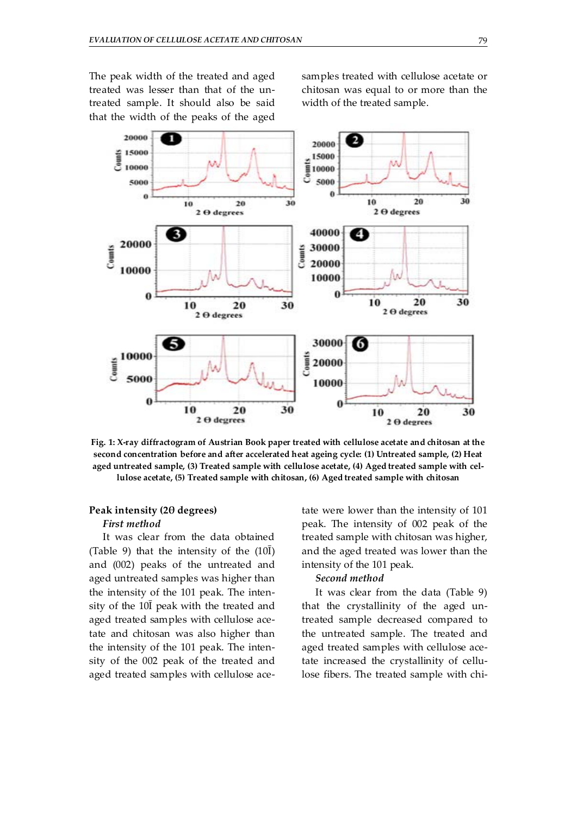The peak width of the treated and aged treated was lesser than that of the untreated sample. It should also be said that the width of the peaks of the aged samples treated with cellulose acetate or chitosan was equal to or more than the width of the treated sample.



**Fig. 1: X-ray diffractogram of Austrian Book paper treated with cellulose acetate and chitosan at the second concentration before and after accelerated heat ageing cycle: (1) Untreated sample, (2) Heat aged untreated sample, (3) Treated sample with cellulose acetate, (4) Aged treated sample with cellulose acetate, (5) Treated sample with chitosan, (6) Aged treated sample with chitosan** 

# **Peak intensity (2θ degrees)**

### *First method*

It was clear from the data obtained (Table 9) that the intensity of the  $(10\bar{I})$ and (002) peaks of the untreated and aged untreated samples was higher than the intensity of the 101 peak. The intensity of the 10Ī peak with the treated and aged treated samples with cellulose acetate and chitosan was also higher than the intensity of the 101 peak. The intensity of the 002 peak of the treated and aged treated samples with cellulose acetate were lower than the intensity of 101 peak. The intensity of 002 peak of the treated sample with chitosan was higher, and the aged treated was lower than the intensity of the 101 peak.

#### *Second method*

It was clear from the data (Table 9) that the crystallinity of the aged untreated sample decreased compared to the untreated sample. The treated and aged treated samples with cellulose acetate increased the crystallinity of cellulose fibers. The treated sample with chi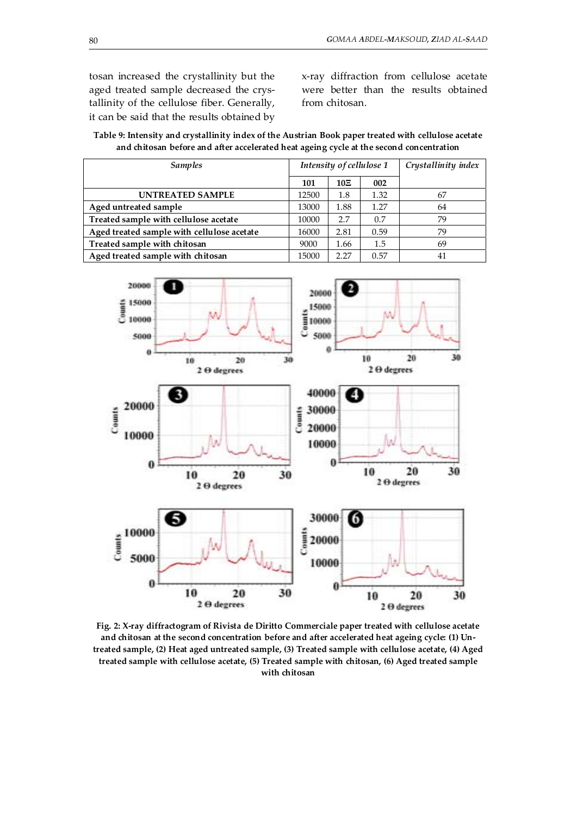tosan increased the crystallinity but the aged treated sample decreased the crystallinity of the cellulose fiber. Generally, it can be said that the results obtained by x-ray diffraction from cellulose acetate were better than the results obtained from chitosan.

| Table 9: Intensity and crystallinity index of the Austrian Book paper treated with cellulose acetate |
|------------------------------------------------------------------------------------------------------|
| and chitosan before and after accelerated heat ageing cycle at the second concentration              |

| <b>Samples</b>                             |       | Intensity of cellulose 1 | Crystallinity index |    |
|--------------------------------------------|-------|--------------------------|---------------------|----|
|                                            | 101   | 10E                      | 002                 |    |
| <b>UNTREATED SAMPLE</b>                    | 12500 | 1.8                      | 1.32                | 67 |
| Aged untreated sample                      | 13000 | 1.88                     | 1.27                | 64 |
| Treated sample with cellulose acetate      | 10000 | 2.7                      | 0.7                 | 79 |
| Aged treated sample with cellulose acetate | 16000 | 2.81                     | 0.59                | 79 |
| Treated sample with chitosan               | 9000  | 1.66                     | 1.5                 | 69 |
| Aged treated sample with chitosan          | 15000 | 2.27                     | 0.57                | 41 |



**Fig. 2: X-ray diffractogram of Rivista de Diritto Commerciale paper treated with cellulose acetate and chitosan at the second concentration before and after accelerated heat ageing cycle: (1) Untreated sample, (2) Heat aged untreated sample, (3) Treated sample with cellulose acetate, (4) Aged treated sample with cellulose acetate, (5) Treated sample with chitosan, (6) Aged treated sample with chitosan**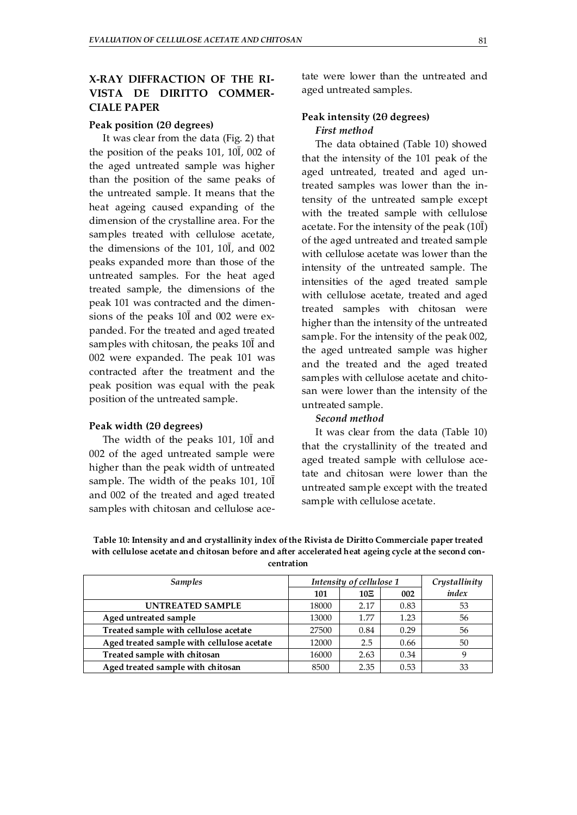# **X-RAY DIFFRACTION OF THE RI-VISTA DE DIRITTO COMMER-CIALE PAPER**

#### **Peak position (2θ degrees)**

It was clear from the data (Fig. 2) that the position of the peaks 101, 10Ī, 002 of the aged untreated sample was higher than the position of the same peaks of the untreated sample. It means that the heat ageing caused expanding of the dimension of the crystalline area. For the samples treated with cellulose acetate, the dimensions of the 101, 10Ī, and 002 peaks expanded more than those of the untreated samples. For the heat aged treated sample, the dimensions of the peak 101 was contracted and the dimensions of the peaks 10Ī and 002 were expanded. For the treated and aged treated samples with chitosan, the peaks 10Ī and 002 were expanded. The peak 101 was contracted after the treatment and the peak position was equal with the peak position of the untreated sample.

#### **Peak width (2θ degrees)**

The width of the peaks 101, 10Ī and 002 of the aged untreated sample were higher than the peak width of untreated sample. The width of the peaks 101, 10Ī and 002 of the treated and aged treated samples with chitosan and cellulose acetate were lower than the untreated and aged untreated samples.

# **Peak intensity (2θ degrees)**  *First method*

The data obtained (Table 10) showed that the intensity of the 101 peak of the aged untreated, treated and aged untreated samples was lower than the intensity of the untreated sample except with the treated sample with cellulose acetate. For the intensity of the peak  $(10\overline{I})$ of the aged untreated and treated sample with cellulose acetate was lower than the intensity of the untreated sample. The intensities of the aged treated sample with cellulose acetate, treated and aged treated samples with chitosan were higher than the intensity of the untreated sample. For the intensity of the peak 002, the aged untreated sample was higher and the treated and the aged treated samples with cellulose acetate and chitosan were lower than the intensity of the untreated sample.

# *Second method*

It was clear from the data (Table 10) that the crystallinity of the treated and aged treated sample with cellulose acetate and chitosan were lower than the untreated sample except with the treated sample with cellulose acetate.

**Table 10: Intensity and and crystallinity index of the Rivista de Diritto Commerciale paper treated with cellulose acetate and chitosan before and after accelerated heat ageing cycle at the second concentration** 

| <b>Samples</b>                             | Intensity of cellulose 1 |      |      | Crystallinity |
|--------------------------------------------|--------------------------|------|------|---------------|
|                                            | 101                      | 10E  | 002  | index         |
| <b>UNTREATED SAMPLE</b>                    | 18000                    | 2.17 | 0.83 | 53            |
| Aged untreated sample                      | 13000                    | 1.77 | 1.23 | 56            |
| Treated sample with cellulose acetate      | 27500                    | 0.84 | 0.29 | 56            |
| Aged treated sample with cellulose acetate | 12000                    | 2.5  | 0.66 | 50            |
| Treated sample with chitosan               | 16000                    | 2.63 | 0.34 | q             |
| Aged treated sample with chitosan          | 8500                     | 2.35 | 0.53 | 33            |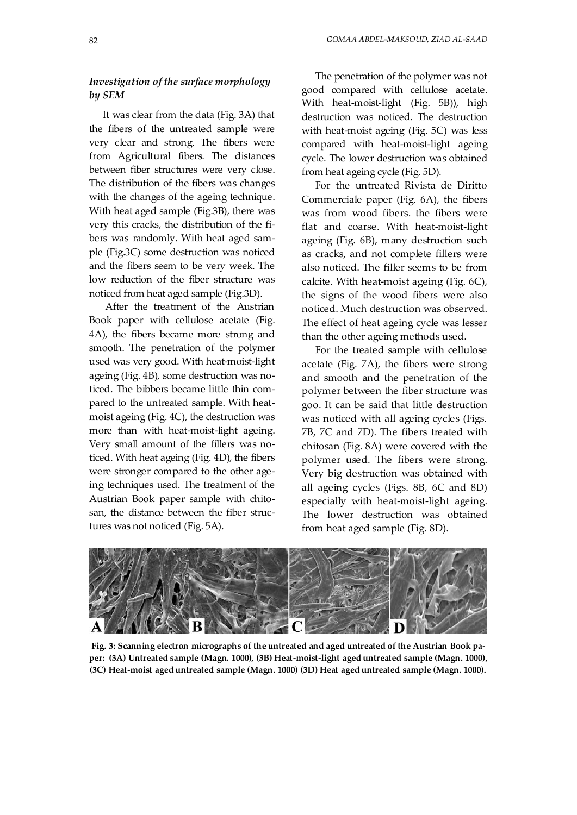# *Investigation of the surface morphology by SEM*

It was clear from the data (Fig. 3A) that the fibers of the untreated sample were very clear and strong. The fibers were from Agricultural fibers. The distances between fiber structures were very close. The distribution of the fibers was changes with the changes of the ageing technique. With heat aged sample (Fig.3B), there was very this cracks, the distribution of the fibers was randomly. With heat aged sample (Fig.3C) some destruction was noticed and the fibers seem to be very week. The low reduction of the fiber structure was noticed from heat aged sample (Fig.3D).

 After the treatment of the Austrian Book paper with cellulose acetate (Fig. 4A), the fibers became more strong and smooth. The penetration of the polymer used was very good. With heat-moist-light ageing (Fig. 4B), some destruction was noticed. The bibbers became little thin compared to the untreated sample. With heatmoist ageing (Fig. 4C), the destruction was more than with heat-moist-light ageing. Very small amount of the fillers was noticed. With heat ageing (Fig. 4D), the fibers were stronger compared to the other ageing techniques used. The treatment of the Austrian Book paper sample with chitosan, the distance between the fiber structures was not noticed (Fig. 5A).

The penetration of the polymer was not good compared with cellulose acetate. With heat-moist-light (Fig. 5B)), high destruction was noticed. The destruction with heat-moist ageing (Fig. 5C) was less compared with heat-moist-light ageing cycle. The lower destruction was obtained from heat ageing cycle (Fig. 5D).

For the untreated Rivista de Diritto Commerciale paper (Fig. 6A), the fibers was from wood fibers. the fibers were flat and coarse. With heat-moist-light ageing (Fig. 6B), many destruction such as cracks, and not complete fillers were also noticed. The filler seems to be from calcite. With heat-moist ageing (Fig. 6C), the signs of the wood fibers were also noticed. Much destruction was observed. The effect of heat ageing cycle was lesser than the other ageing methods used.

For the treated sample with cellulose acetate (Fig. 7A), the fibers were strong and smooth and the penetration of the polymer between the fiber structure was goo. It can be said that little destruction was noticed with all ageing cycles (Figs. 7B, 7C and 7D). The fibers treated with chitosan (Fig. 8A) were covered with the polymer used. The fibers were strong. Very big destruction was obtained with all ageing cycles (Figs. 8B, 6C and 8D) especially with heat-moist-light ageing. The lower destruction was obtained from heat aged sample (Fig. 8D).



**Fig. 3: Scanning electron micrographs of the untreated and aged untreated of the Austrian Book paper: (3A) Untreated sample (Magn. 1000), (3B) Heat-moist-light aged untreated sample (Magn. 1000), (3C) Heat-moist aged untreated sample (Magn. 1000) (3D) Heat aged untreated sample (Magn. 1000).**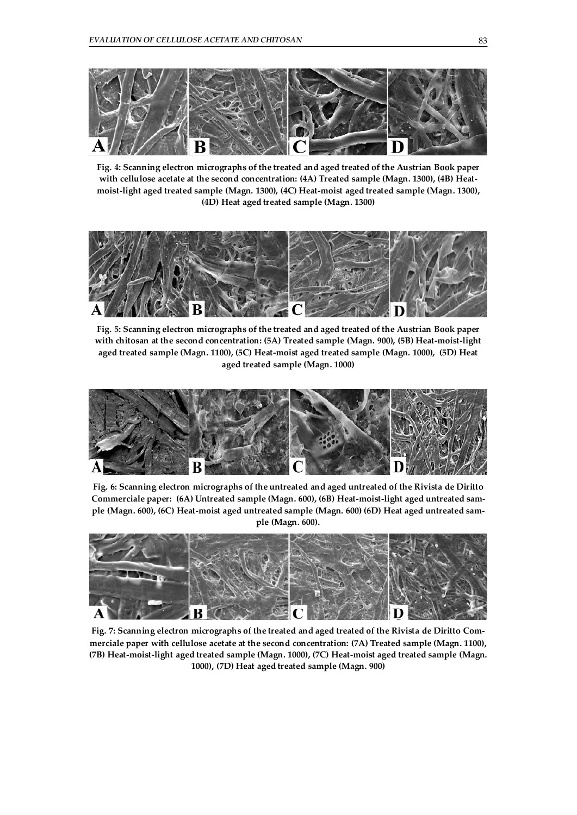

**Fig. 4: Scanning electron micrographs of the treated and aged treated of the Austrian Book paper with cellulose acetate at the second concentration: (4A) Treated sample (Magn. 1300), (4B) Heatmoist-light aged treated sample (Magn. 1300), (4C) Heat-moist aged treated sample (Magn. 1300), (4D) Heat aged treated sample (Magn. 1300)** 



**Fig. 5: Scanning electron micrographs of the treated and aged treated of the Austrian Book paper with chitosan at the second concentration: (5A) Treated sample (Magn. 900), (5B) Heat-moist-light aged treated sample (Magn. 1100), (5C) Heat-moist aged treated sample (Magn. 1000), (5D) Heat aged treated sample (Magn. 1000)** 



**Fig. 6: Scanning electron micrographs of the untreated and aged untreated of the Rivista de Diritto Commerciale paper: (6A) Untreated sample (Magn. 600), (6B) Heat-moist-light aged untreated sample (Magn. 600), (6C) Heat-moist aged untreated sample (Magn. 600) (6D) Heat aged untreated sample (Magn. 600).** 



**Fig. 7: Scanning electron micrographs of the treated and aged treated of the Rivista de Diritto Commerciale paper with cellulose acetate at the second concentration: (7A) Treated sample (Magn. 1100), (7B) Heat-moist-light aged treated sample (Magn. 1000), (7C) Heat-moist aged treated sample (Magn. 1000), (7D) Heat aged treated sample (Magn. 900)**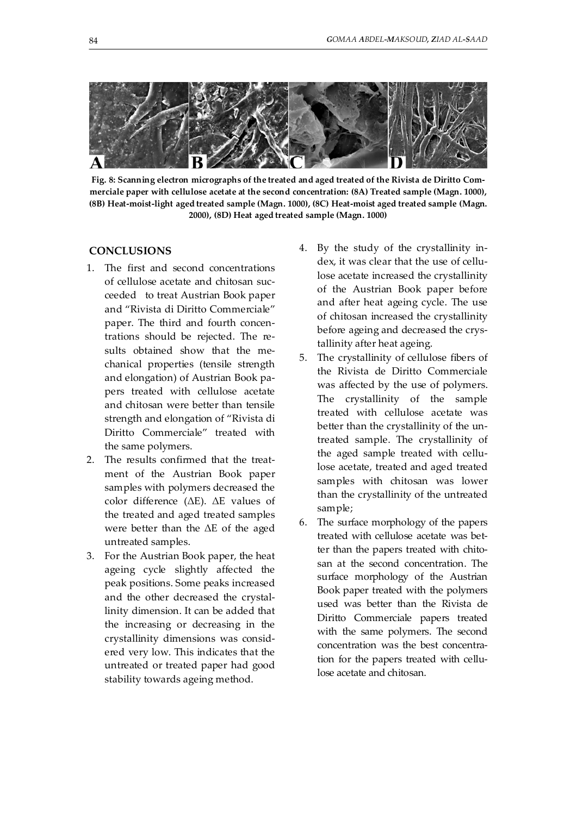

**Fig. 8: Scanning electron micrographs of the treated and aged treated of the Rivista de Diritto Commerciale paper with cellulose acetate at the second concentration: (8A) Treated sample (Magn. 1000), (8B) Heat-moist-light aged treated sample (Magn. 1000), (8C) Heat-moist aged treated sample (Magn. 2000), (8D) Heat aged treated sample (Magn. 1000)**

# **CONCLUSIONS**

- 1. The first and second concentrations of cellulose acetate and chitosan succeeded to treat Austrian Book paper and "Rivista di Diritto Commerciale" paper. The third and fourth concentrations should be rejected. The results obtained show that the mechanical properties (tensile strength and elongation) of Austrian Book papers treated with cellulose acetate and chitosan were better than tensile strength and elongation of "Rivista di Diritto Commerciale" treated with the same polymers.
- 2. The results confirmed that the treatment of the Austrian Book paper samples with polymers decreased the color difference (ΔE). ΔE values of the treated and aged treated samples were better than the ΔE of the aged untreated samples.
- 3. For the Austrian Book paper, the heat ageing cycle slightly affected the peak positions. Some peaks increased and the other decreased the crystallinity dimension. It can be added that the increasing or decreasing in the crystallinity dimensions was considered very low. This indicates that the untreated or treated paper had good stability towards ageing method.
- 4. By the study of the crystallinity index, it was clear that the use of cellulose acetate increased the crystallinity of the Austrian Book paper before and after heat ageing cycle. The use of chitosan increased the crystallinity before ageing and decreased the crystallinity after heat ageing.
- 5. The crystallinity of cellulose fibers of the Rivista de Diritto Commerciale was affected by the use of polymers. The crystallinity of the sample treated with cellulose acetate was better than the crystallinity of the untreated sample. The crystallinity of the aged sample treated with cellulose acetate, treated and aged treated samples with chitosan was lower than the crystallinity of the untreated sample;
- 6. The surface morphology of the papers treated with cellulose acetate was better than the papers treated with chitosan at the second concentration. The surface morphology of the Austrian Book paper treated with the polymers used was better than the Rivista de Diritto Commerciale papers treated with the same polymers. The second concentration was the best concentration for the papers treated with cellulose acetate and chitosan.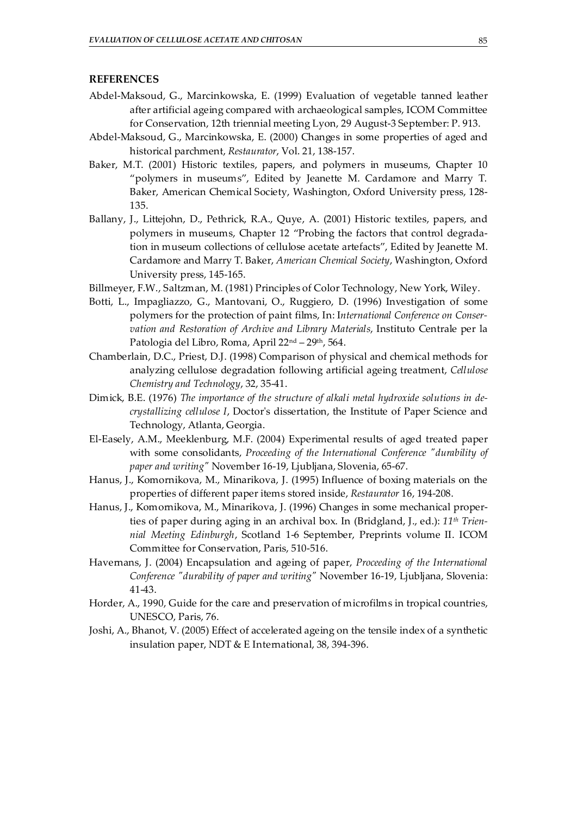# **REFERENCES**

- Abdel-Maksoud, G., Marcinkowska, E. (1999) Evaluation of vegetable tanned leather after artificial ageing compared with archaeological samples, ICOM Committee for Conservation, 12th triennial meeting Lyon, 29 August-3 September: P. 913.
- Abdel-Maksoud, G., Marcinkowska, E. (2000) Changes in some properties of aged and historical parchment, *Restaurator*, Vol. 21, 138-157.
- Baker, M.T. (2001) Historic textiles, papers, and polymers in museums, Chapter 10 "polymers in museums", Edited by Jeanette M. Cardamore and Marry T. Baker, American Chemical Society, Washington, Oxford University press, 128- 135.
- Ballany, J., Littejohn, D., Pethrick, R.A., Quye, A. (2001) Historic textiles, papers, and polymers in museums, Chapter 12 "Probing the factors that control degradation in museum collections of cellulose acetate artefacts", Edited by Jeanette M. Cardamore and Marry T. Baker, *American Chemical Society*, Washington, Oxford University press, 145-165.
- Billmeyer, F.W., Saltzman, M. (1981) Principles of Color Technology, New York, Wiley.
- Botti, L., Impagliazzo, G., Mantovani, O., Ruggiero, D. (1996) Investigation of some polymers for the protection of paint films, In: I*nternational Conference on Conservation and Restoration of Archive and Library Materials*, Instituto Centrale per la Patologia del Libro, Roma, April 22<sup>nd</sup> – 29<sup>th</sup>, 564.
- Chamberlain, D.C., Priest, D.J. (1998) Comparison of physical and chemical methods for analyzing cellulose degradation following artificial ageing treatment, *Cellulose Chemistry and Technology*, 32, 35-41.
- Dimick, B.E. (1976) *The importance of the structure of alkali metal hydroxide solutions in decrystallizing cellulose I*, Doctor's dissertation, the Institute of Paper Science and Technology, Atlanta, Georgia.
- El-Easely, A.M., Meeklenburg, M.F. (2004) Experimental results of aged treated paper with some consolidants, *Proceeding of the International Conference "durability of paper and writing"* November 16-19, Ljubljana, Slovenia, 65-67.
- Hanus, J., Komornikova, M., Minarikova, J. (1995) Influence of boxing materials on the properties of different paper items stored inside, *Restaurator* 16, 194-208.
- Hanus, J., Komornikova, M., Minarikova, J. (1996) Changes in some mechanical properties of paper during aging in an archival box. In (Bridgland, J., ed.): *11th Triennial Meeting Edinburgh*, Scotland 1-6 September, Preprints volume II. ICOM Committee for Conservation, Paris, 510-516.
- Havernans, J. (2004) Encapsulation and ageing of paper, *Proceeding of the International Conference "durability of paper and writing"* November 16-19, Ljubljana, Slovenia: 41-43.
- Horder, A., 1990, Guide for the care and preservation of microfilms in tropical countries, UNESCO, Paris, 76.
- Joshi, A., Bhanot, V. (2005) Effect of accelerated ageing on the tensile index of a synthetic insulation paper, NDT & E International, 38, 394-396.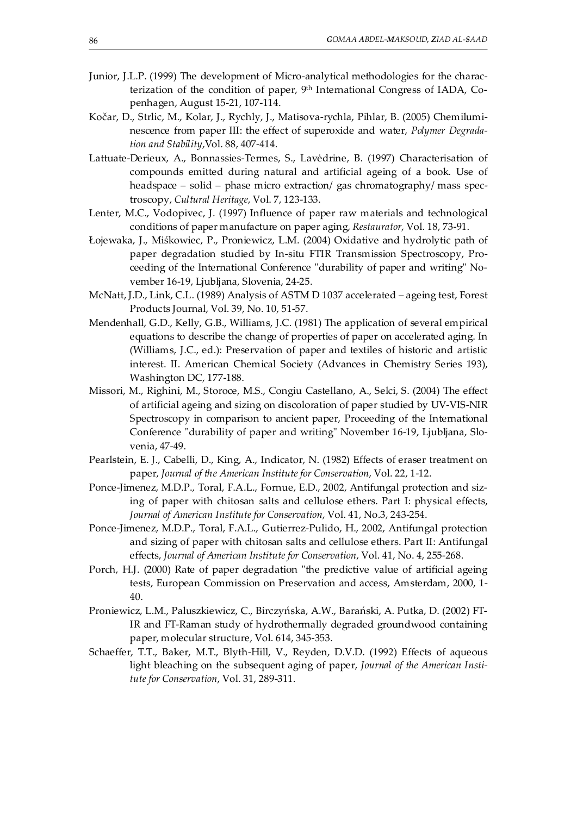- Junior, J.L.P. (1999) The development of Micro-analytical methodologies for the characterization of the condition of paper, 9<sup>th</sup> International Congress of IADA, Copenhagen, August 15-21, 107-114.
- Kočar, D., Strlic, M., Kolar, J., Rychly, J., Matisova-rychla, Pihlar, B. (2005) Chemiluminescence from paper III: the effect of superoxide and water, *Polymer Degradation and Stability*,Vol. 88, 407-414.
- Lattuate-Derieux, A., Bonnassies-Termes, S., Lavėdrine, B. (1997) Characterisation of compounds emitted during natural and artificial ageing of a book. Use of headspace – solid – phase micro extraction/ gas chromatography/ mass spectroscopy, *Cultural Heritage*, Vol. 7, 123-133.
- Lenter, M.C., Vodopivec, J. (1997) Influence of paper raw materials and technological conditions of paper manufacture on paper aging, *Restaurator*, Vol. 18, 73-91.
- Łojewaka, J., Miśkowiec, P., Proniewicz, L.M. (2004) Oxidative and hydrolytic path of paper degradation studied by In-situ FTIR Transmission Spectroscopy, Proceeding of the International Conference "durability of paper and writing" November 16-19, Ljubljana, Slovenia, 24-25.
- McNatt, J.D., Link, C.L. (1989) Analysis of ASTM D 1037 accelerated ageing test, Forest Products Journal, Vol. 39, No. 10, 51-57.
- Mendenhall, G.D., Kelly, G.B., Williams, J.C. (1981) The application of several empirical equations to describe the change of properties of paper on accelerated aging. In (Williams, J.C., ed.): Preservation of paper and textiles of historic and artistic interest. II. American Chemical Society (Advances in Chemistry Series 193), Washington DC, 177-188.
- Missori, M., Righini, M., Storoce, M.S., Congiu Castellano, A., Selci, S. (2004) The effect of artificial ageing and sizing on discoloration of paper studied by UV-VIS-NIR Spectroscopy in comparison to ancient paper, Proceeding of the International Conference "durability of paper and writing" November 16-19, Ljubljana, Slovenia, 47-49.
- Pearlstein, E. J., Cabelli, D., King, A., Indicator, N. (1982) Effects of eraser treatment on paper, *Journal of the American Institute for Conservation*, Vol. 22, 1-12.
- Ponce-Jimenez, M.D.P., Toral, F.A.L., Fornue, E.D., 2002, Antifungal protection and sizing of paper with chitosan salts and cellulose ethers. Part I: physical effects, *Journal of American Institute for Conservation*, Vol. 41, No.3, 243-254.
- Ponce-Jimenez, M.D.P., Toral, F.A.L., Gutierrez-Pulido, H., 2002, Antifungal protection and sizing of paper with chitosan salts and cellulose ethers. Part II: Antifungal effects, *Journal of American Institute for Conservation*, Vol. 41, No. 4, 255-268.
- Porch, H.J. (2000) Rate of paper degradation "the predictive value of artificial ageing tests, European Commission on Preservation and access, Amsterdam, 2000, 1- 40.
- Proniewicz, L.M., Paluszkiewicz, C., Birczyńska, A.W., Barański, A. Putka, D. (2002) FT-IR and FT-Raman study of hydrothermally degraded groundwood containing paper, molecular structure, Vol. 614, 345-353.
- Schaeffer, T.T., Baker, M.T., Blyth-Hill, V., Reyden, D.V.D. (1992) Effects of aqueous light bleaching on the subsequent aging of paper, *Journal of the American Institute for Conservation*, Vol. 31, 289-311.